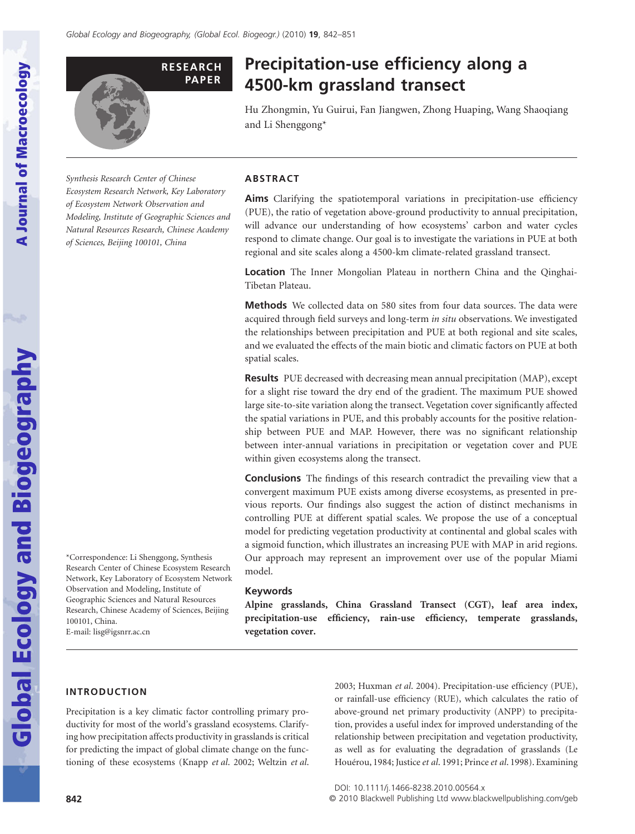

# **Precipitation-use efficiency along a 4500-km grassland transect**

Hu Zhongmin, Yu Guirui, Fan Jiangwen, Zhong Huaping, Wang Shaoqiang and Li Shenggong\*

*Synthesis Research Center of Chinese Ecosystem Research Network, Key Laboratory of Ecosystem Network Observation and Modeling, Institute of Geographic Sciences and Natural Resources Research, Chinese Academy of Sciences, Beijing 100101, China*

# **ABSTRACT**

**Aims** Clarifying the spatiotemporal variations in precipitation-use efficiency (PUE), the ratio of vegetation above-ground productivity to annual precipitation, will advance our understanding of how ecosystems' carbon and water cycles respond to climate change. Our goal is to investigate the variations in PUE at both regional and site scales along a 4500-km climate-related grassland transect.

**Location** The Inner Mongolian Plateau in northern China and the Qinghai-Tibetan Plateau.

**Methods** We collected data on 580 sites from four data sources. The data were acquired through field surveys and long-term *in situ* observations. We investigated the relationships between precipitation and PUE at both regional and site scales, and we evaluated the effects of the main biotic and climatic factors on PUE at both spatial scales.

**Results** PUE decreased with decreasing mean annual precipitation (MAP), except for a slight rise toward the dry end of the gradient. The maximum PUE showed large site-to-site variation along the transect. Vegetation cover significantly affected the spatial variations in PUE, and this probably accounts for the positive relationship between PUE and MAP. However, there was no significant relationship between inter-annual variations in precipitation or vegetation cover and PUE within given ecosystems along the transect.

**Conclusions** The findings of this research contradict the prevailing view that a convergent maximum PUE exists among diverse ecosystems, as presented in previous reports. Our findings also suggest the action of distinct mechanisms in controlling PUE at different spatial scales. We propose the use of a conceptual model for predicting vegetation productivity at continental and global scales with a sigmoid function, which illustrates an increasing PUE with MAP in arid regions. Our approach may represent an improvement over use of the popular Miami model.

#### **Keywords**

**Alpine grasslands, China Grassland Transect (CGT), leaf area index, precipitation-use efficiency, rain-use efficiency, temperate grasslands, vegetation cover.**

\*Correspondence: Li Shenggong, Synthesis Research Center of Chinese Ecosystem Research Network, Key Laboratory of Ecosystem Network Observation and Modeling, Institute of Geographic Sciences and Natural Resources Research, Chinese Academy of Sciences, Beijing 100101, China. E-mail: lisg@igsnrr.ac.cn

# **INTRODUCTION**

Precipitation is a key climatic factor controlling primary productivity for most of the world's grassland ecosystems. Clarifying how precipitation affects productivity in grasslands is critical for predicting the impact of global climate change on the functioning of these ecosystems (Knapp *et al*. 2002; Weltzin *et al*. 2003; Huxman *et al*. 2004). Precipitation-use efficiency (PUE), or rainfall-use efficiency (RUE), which calculates the ratio of above-ground net primary productivity (ANPP) to precipitation, provides a useful index for improved understanding of the relationship between precipitation and vegetation productivity, as well as for evaluating the degradation of grasslands (Le Houérou, 1984; Justice *et al*. 1991; Prince *et al*. 1998). Examining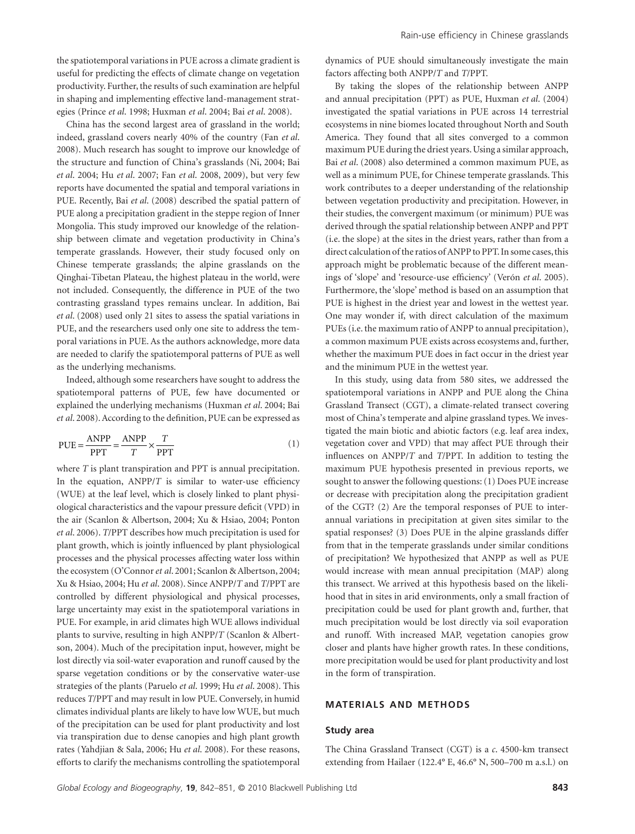the spatiotemporal variations in PUE across a climate gradient is useful for predicting the effects of climate change on vegetation productivity. Further, the results of such examination are helpful in shaping and implementing effective land-management strategies (Prince *et al*. 1998; Huxman *et al*. 2004; Bai *et al*. 2008).

China has the second largest area of grassland in the world; indeed, grassland covers nearly 40% of the country (Fan *et al*. 2008). Much research has sought to improve our knowledge of the structure and function of China's grasslands (Ni, 2004; Bai *et al*. 2004; Hu *et al*. 2007; Fan *et al*. 2008, 2009), but very few reports have documented the spatial and temporal variations in PUE. Recently, Bai *et al*. (2008) described the spatial pattern of PUE along a precipitation gradient in the steppe region of Inner Mongolia. This study improved our knowledge of the relationship between climate and vegetation productivity in China's temperate grasslands. However, their study focused only on Chinese temperate grasslands; the alpine grasslands on the Qinghai-Tibetan Plateau, the highest plateau in the world, were not included. Consequently, the difference in PUE of the two contrasting grassland types remains unclear. In addition, Bai *et al*. (2008) used only 21 sites to assess the spatial variations in PUE, and the researchers used only one site to address the temporal variations in PUE. As the authors acknowledge, more data are needed to clarify the spatiotemporal patterns of PUE as well as the underlying mechanisms.

Indeed, although some researchers have sought to address the spatiotemporal patterns of PUE, few have documented or explained the underlying mechanisms (Huxman *et al*. 2004; Bai *et al*. 2008). According to the definition, PUE can be expressed as

$$
PUE = \frac{ANPP}{PPT} = \frac{ANPP}{T} \times \frac{T}{PPT}
$$
 (1)

where *T* is plant transpiration and PPT is annual precipitation. In the equation, ANPP/*T* is similar to water-use efficiency (WUE) at the leaf level, which is closely linked to plant physiological characteristics and the vapour pressure deficit (VPD) in the air (Scanlon & Albertson, 2004; Xu & Hsiao, 2004; Ponton *et al*. 2006). *T*/PPT describes how much precipitation is used for plant growth, which is jointly influenced by plant physiological processes and the physical processes affecting water loss within the ecosystem (O'Connor*et al*. 2001; Scanlon & Albertson, 2004; Xu & Hsiao, 2004; Hu *et al*. 2008). Since ANPP/*T* and *T*/PPT are controlled by different physiological and physical processes, large uncertainty may exist in the spatiotemporal variations in PUE. For example, in arid climates high WUE allows individual plants to survive, resulting in high ANPP/*T* (Scanlon & Albertson, 2004). Much of the precipitation input, however, might be lost directly via soil-water evaporation and runoff caused by the sparse vegetation conditions or by the conservative water-use strategies of the plants (Paruelo *et al*. 1999; Hu *et al*. 2008). This reduces *T*/PPT and may result in low PUE. Conversely, in humid climates individual plants are likely to have low WUE, but much of the precipitation can be used for plant productivity and lost via transpiration due to dense canopies and high plant growth rates (Yahdjian & Sala, 2006; Hu *et al*. 2008). For these reasons, efforts to clarify the mechanisms controlling the spatiotemporal dynamics of PUE should simultaneously investigate the main factors affecting both ANPP/*T* and *T*/PPT.

By taking the slopes of the relationship between ANPP and annual precipitation (PPT) as PUE, Huxman *et al*. (2004) investigated the spatial variations in PUE across 14 terrestrial ecosystems in nine biomes located throughout North and South America. They found that all sites converged to a common maximum PUE during the driest years. Using a similar approach, Bai *et al*. (2008) also determined a common maximum PUE, as well as a minimum PUE, for Chinese temperate grasslands. This work contributes to a deeper understanding of the relationship between vegetation productivity and precipitation. However, in their studies, the convergent maximum (or minimum) PUE was derived through the spatial relationship between ANPP and PPT (i.e. the slope) at the sites in the driest years, rather than from a direct calculation of the ratios of ANPP to PPT. In some cases, this approach might be problematic because of the different meanings of 'slope' and 'resource-use efficiency' (Verón *et al*. 2005). Furthermore, the 'slope' method is based on an assumption that PUE is highest in the driest year and lowest in the wettest year. One may wonder if, with direct calculation of the maximum PUEs (i.e. the maximum ratio of ANPP to annual precipitation), a common maximum PUE exists across ecosystems and, further, whether the maximum PUE does in fact occur in the driest year and the minimum PUE in the wettest year.

In this study, using data from 580 sites, we addressed the spatiotemporal variations in ANPP and PUE along the China Grassland Transect (CGT), a climate-related transect covering most of China's temperate and alpine grassland types. We investigated the main biotic and abiotic factors (e.g. leaf area index, vegetation cover and VPD) that may affect PUE through their influences on ANPP/*T* and *T*/PPT. In addition to testing the maximum PUE hypothesis presented in previous reports, we sought to answer the following questions: (1) Does PUE increase or decrease with precipitation along the precipitation gradient of the CGT? (2) Are the temporal responses of PUE to interannual variations in precipitation at given sites similar to the spatial responses? (3) Does PUE in the alpine grasslands differ from that in the temperate grasslands under similar conditions of precipitation? We hypothesized that ANPP as well as PUE would increase with mean annual precipitation (MAP) along this transect. We arrived at this hypothesis based on the likelihood that in sites in arid environments, only a small fraction of precipitation could be used for plant growth and, further, that much precipitation would be lost directly via soil evaporation and runoff. With increased MAP, vegetation canopies grow closer and plants have higher growth rates. In these conditions, more precipitation would be used for plant productivity and lost in the form of transpiration.

## **MATERIALS AND METHODS**

#### **Study area**

The China Grassland Transect (CGT) is a *c*. 4500-km transect extending from Hailaer (122.4° E, 46.6° N, 500–700 m a.s.l.) on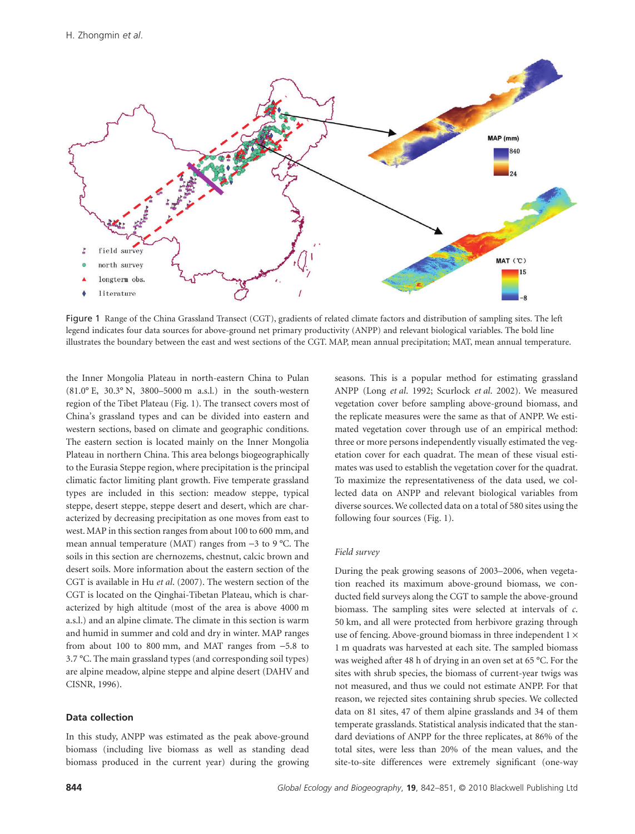

Figure 1 Range of the China Grassland Transect (CGT), gradients of related climate factors and distribution of sampling sites. The left legend indicates four data sources for above-ground net primary productivity (ANPP) and relevant biological variables. The bold line illustrates the boundary between the east and west sections of the CGT. MAP, mean annual precipitation; MAT, mean annual temperature.

the Inner Mongolia Plateau in north-eastern China to Pulan (81.0° E, 30.3° N, 3800–5000 m a.s.l.) in the south-western region of the Tibet Plateau (Fig. 1). The transect covers most of China's grassland types and can be divided into eastern and western sections, based on climate and geographic conditions. The eastern section is located mainly on the Inner Mongolia Plateau in northern China. This area belongs biogeographically to the Eurasia Steppe region, where precipitation is the principal climatic factor limiting plant growth. Five temperate grassland types are included in this section: meadow steppe, typical steppe, desert steppe, steppe desert and desert, which are characterized by decreasing precipitation as one moves from east to west. MAP in this section ranges from about 100 to 600 mm, and mean annual temperature (MAT) ranges from -3 to 9 °C. The soils in this section are chernozems, chestnut, calcic brown and desert soils. More information about the eastern section of the CGT is available in Hu *et al*. (2007). The western section of the CGT is located on the Qinghai-Tibetan Plateau, which is characterized by high altitude (most of the area is above 4000 m a.s.l.) and an alpine climate. The climate in this section is warm and humid in summer and cold and dry in winter. MAP ranges from about 100 to 800 mm, and MAT ranges from -5.8 to 3.7 °C. The main grassland types (and corresponding soil types) are alpine meadow, alpine steppe and alpine desert (DAHV and CISNR, 1996).

#### **Data collection**

In this study, ANPP was estimated as the peak above-ground biomass (including live biomass as well as standing dead biomass produced in the current year) during the growing seasons. This is a popular method for estimating grassland ANPP (Long *et al*. 1992; Scurlock *et al*. 2002). We measured vegetation cover before sampling above-ground biomass, and the replicate measures were the same as that of ANPP. We estimated vegetation cover through use of an empirical method: three or more persons independently visually estimated the vegetation cover for each quadrat. The mean of these visual estimates was used to establish the vegetation cover for the quadrat. To maximize the representativeness of the data used, we collected data on ANPP and relevant biological variables from diverse sources.We collected data on a total of 580 sites using the following four sources (Fig. 1).

#### *Field survey*

During the peak growing seasons of 2003–2006, when vegetation reached its maximum above-ground biomass, we conducted field surveys along the CGT to sample the above-ground biomass. The sampling sites were selected at intervals of *c*. 50 km, and all were protected from herbivore grazing through use of fencing. Above-ground biomass in three independent 1  $\times$ 1 m quadrats was harvested at each site. The sampled biomass was weighed after 48 h of drying in an oven set at 65 °C. For the sites with shrub species, the biomass of current-year twigs was not measured, and thus we could not estimate ANPP. For that reason, we rejected sites containing shrub species. We collected data on 81 sites, 47 of them alpine grasslands and 34 of them temperate grasslands. Statistical analysis indicated that the standard deviations of ANPP for the three replicates, at 86% of the total sites, were less than 20% of the mean values, and the site-to-site differences were extremely significant (one-way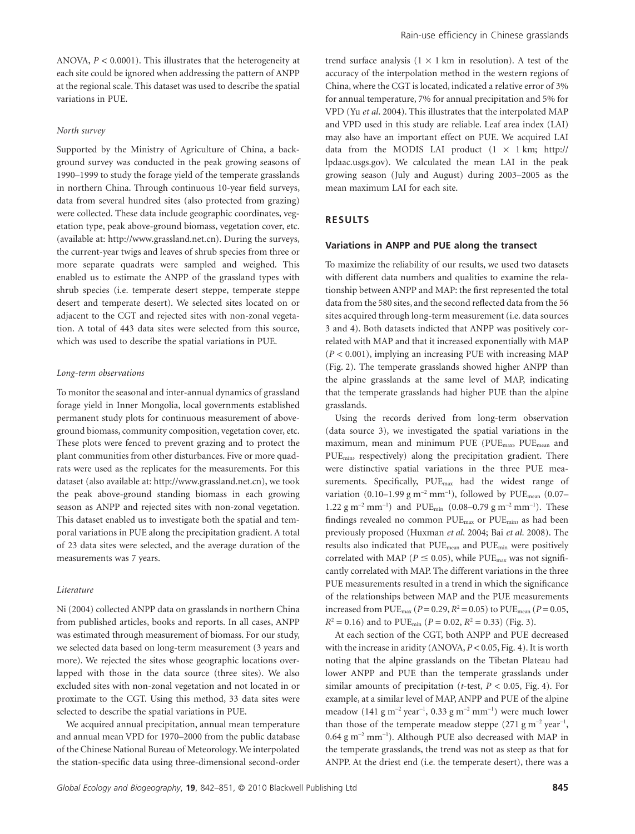ANOVA, *P* < 0.0001). This illustrates that the heterogeneity at each site could be ignored when addressing the pattern of ANPP at the regional scale. This dataset was used to describe the spatial variations in PUE.

#### *North survey*

Supported by the Ministry of Agriculture of China, a background survey was conducted in the peak growing seasons of 1990–1999 to study the forage yield of the temperate grasslands in northern China. Through continuous 10-year field surveys, data from several hundred sites (also protected from grazing) were collected. These data include geographic coordinates, vegetation type, peak above-ground biomass, vegetation cover, etc. (available at: http://www.grassland.net.cn). During the surveys, the current-year twigs and leaves of shrub species from three or more separate quadrats were sampled and weighed. This enabled us to estimate the ANPP of the grassland types with shrub species (i.e. temperate desert steppe, temperate steppe desert and temperate desert). We selected sites located on or adjacent to the CGT and rejected sites with non-zonal vegetation. A total of 443 data sites were selected from this source, which was used to describe the spatial variations in PUE.

## *Long-term observations*

To monitor the seasonal and inter-annual dynamics of grassland forage yield in Inner Mongolia, local governments established permanent study plots for continuous measurement of aboveground biomass, community composition, vegetation cover, etc. These plots were fenced to prevent grazing and to protect the plant communities from other disturbances. Five or more quadrats were used as the replicates for the measurements. For this dataset (also available at: http://www.grassland.net.cn), we took the peak above-ground standing biomass in each growing season as ANPP and rejected sites with non-zonal vegetation. This dataset enabled us to investigate both the spatial and temporal variations in PUE along the precipitation gradient. A total of 23 data sites were selected, and the average duration of the measurements was 7 years.

#### *Literature*

Ni (2004) collected ANPP data on grasslands in northern China from published articles, books and reports. In all cases, ANPP was estimated through measurement of biomass. For our study, we selected data based on long-term measurement (3 years and more). We rejected the sites whose geographic locations overlapped with those in the data source (three sites). We also excluded sites with non-zonal vegetation and not located in or proximate to the CGT. Using this method, 33 data sites were selected to describe the spatial variations in PUE.

We acquired annual precipitation, annual mean temperature and annual mean VPD for 1970–2000 from the public database of the Chinese National Bureau of Meteorology.We interpolated the station-specific data using three-dimensional second-order trend surface analysis  $(1 \times 1 \text{ km} \text{ in resolution})$ . A test of the accuracy of the interpolation method in the western regions of China, where the CGT is located, indicated a relative error of 3% for annual temperature, 7% for annual precipitation and 5% for VPD (Yu *et al*. 2004). This illustrates that the interpolated MAP and VPD used in this study are reliable. Leaf area index (LAI) may also have an important effect on PUE. We acquired LAI data from the MODIS LAI product  $(1 \times 1 \text{ km}; \text{ http://}$ lpdaac.usgs.gov). We calculated the mean LAI in the peak growing season (July and August) during 2003–2005 as the mean maximum LAI for each site.

#### **RESULTS**

#### **Variations in ANPP and PUE along the transect**

To maximize the reliability of our results, we used two datasets with different data numbers and qualities to examine the relationship between ANPP and MAP: the first represented the total data from the 580 sites, and the second reflected data from the 56 sites acquired through long-term measurement (i.e. data sources 3 and 4). Both datasets indicted that ANPP was positively correlated with MAP and that it increased exponentially with MAP (*P* < 0.001), implying an increasing PUE with increasing MAP (Fig. 2). The temperate grasslands showed higher ANPP than the alpine grasslands at the same level of MAP, indicating that the temperate grasslands had higher PUE than the alpine grasslands.

Using the records derived from long-term observation (data source 3), we investigated the spatial variations in the maximum, mean and minimum PUE (PUE<sub>max</sub>, PUE<sub>mean</sub> and PUE<sub>min</sub>, respectively) along the precipitation gradient. There were distinctive spatial variations in the three PUE measurements. Specifically, PUE<sub>max</sub> had the widest range of variation  $(0.10-1.99 \text{ g m}^{-2} \text{ mm}^{-1})$ , followed by PUE<sub>mean</sub>  $(0.07-$ 1.22 g m<sup>-2</sup> mm<sup>-1</sup>) and PUE<sub>min</sub> (0.08–0.79 g m<sup>-2</sup> mm<sup>-1</sup>). These findings revealed no common PUE<sub>max</sub> or PUE<sub>min</sub>, as had been previously proposed (Huxman *et al*. 2004; Bai *et al*. 2008). The results also indicated that PUEmean and PUEmin were positively correlated with MAP ( $P \le 0.05$ ), while PUE<sub>max</sub> was not significantly correlated with MAP. The different variations in the three PUE measurements resulted in a trend in which the significance of the relationships between MAP and the PUE measurements increased from  $PUE_{max}$  ( $P = 0.29$ ,  $R^2 = 0.05$ ) to  $PUE_{mean}$  ( $P = 0.05$ ,  $R^2 = 0.16$ ) and to PUE<sub>min</sub> (*P* = 0.02,  $R^2 = 0.33$ ) (Fig. 3).

At each section of the CGT, both ANPP and PUE decreased with the increase in aridity (ANOVA, *P* < 0.05, Fig. 4). It is worth noting that the alpine grasslands on the Tibetan Plateau had lower ANPP and PUE than the temperate grasslands under similar amounts of precipitation (*t*-test, *P* < 0.05, Fig. 4). For example, at a similar level of MAP, ANPP and PUE of the alpine meadow  $(141 g m^{-2} year^{-1}, 0.33 g m^{-2} mm^{-1})$  were much lower than those of the temperate meadow steppe  $(271 g m<sup>-2</sup> year<sup>-1</sup>$ ,  $0.64$  g m<sup>-2</sup> mm<sup>-1</sup>). Although PUE also decreased with MAP in the temperate grasslands, the trend was not as steep as that for ANPP. At the driest end (i.e. the temperate desert), there was a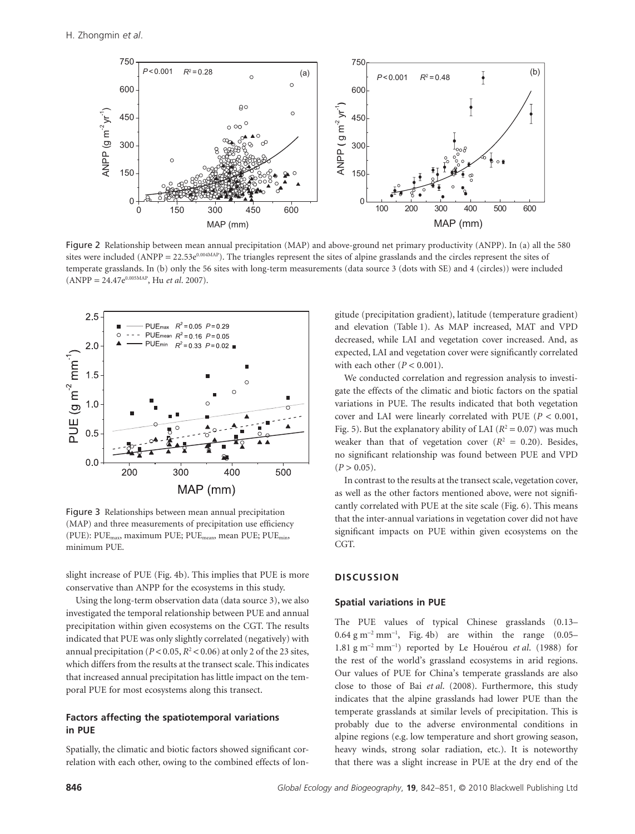

Figure 2 Relationship between mean annual precipitation (MAP) and above-ground net primary productivity (ANPP). In (a) all the 580 sites were included (ANPP = 22.53 $e^{0.004MAP}$ ). The triangles represent the sites of alpine grasslands and the circles represent the sites of temperate grasslands. In (b) only the 56 sites with long-term measurements (data source 3 (dots with SE) and 4 (circles)) were included (ANPP = 24.47e0.005MAP, Hu *et al*. 2007).



Figure 3 Relationships between mean annual precipitation (MAP) and three measurements of precipitation use efficiency (PUE): PUEmax, maximum PUE; PUEmean, mean PUE; PUEmin, minimum PUE.

slight increase of PUE (Fig. 4b). This implies that PUE is more conservative than ANPP for the ecosystems in this study.

Using the long-term observation data (data source 3), we also investigated the temporal relationship between PUE and annual precipitation within given ecosystems on the CGT. The results indicated that PUE was only slightly correlated (negatively) with annual precipitation ( $P < 0.05$ ,  $R^2 < 0.06$ ) at only 2 of the 23 sites, which differs from the results at the transect scale. This indicates that increased annual precipitation has little impact on the temporal PUE for most ecosystems along this transect.

## **Factors affecting the spatiotemporal variations in PUE**

Spatially, the climatic and biotic factors showed significant correlation with each other, owing to the combined effects of longitude (precipitation gradient), latitude (temperature gradient) and elevation (Table 1). As MAP increased, MAT and VPD decreased, while LAI and vegetation cover increased. And, as expected, LAI and vegetation cover were significantly correlated with each other  $(P < 0.001)$ .

We conducted correlation and regression analysis to investigate the effects of the climatic and biotic factors on the spatial variations in PUE. The results indicated that both vegetation cover and LAI were linearly correlated with PUE (*P* < 0.001, Fig. 5). But the explanatory ability of LAI  $(R^2 = 0.07)$  was much weaker than that of vegetation cover  $(R^2 = 0.20)$ . Besides, no significant relationship was found between PUE and VPD  $(P > 0.05)$ .

In contrast to the results at the transect scale, vegetation cover, as well as the other factors mentioned above, were not significantly correlated with PUE at the site scale (Fig. 6). This means that the inter-annual variations in vegetation cover did not have significant impacts on PUE within given ecosystems on the CGT.

## **DISCUSSION**

#### **Spatial variations in PUE**

The PUE values of typical Chinese grasslands (0.13–  $0.64$  g m<sup>-2</sup> mm<sup>-1</sup>, Fig. 4b) are within the range  $(0.05-$ 1.81 g m-<sup>2</sup> mm-<sup>1</sup> ) reported by Le Houérou *et al*. (1988) for the rest of the world's grassland ecosystems in arid regions. Our values of PUE for China's temperate grasslands are also close to those of Bai *et al*. (2008). Furthermore, this study indicates that the alpine grasslands had lower PUE than the temperate grasslands at similar levels of precipitation. This is probably due to the adverse environmental conditions in alpine regions (e.g. low temperature and short growing season, heavy winds, strong solar radiation, etc.). It is noteworthy that there was a slight increase in PUE at the dry end of the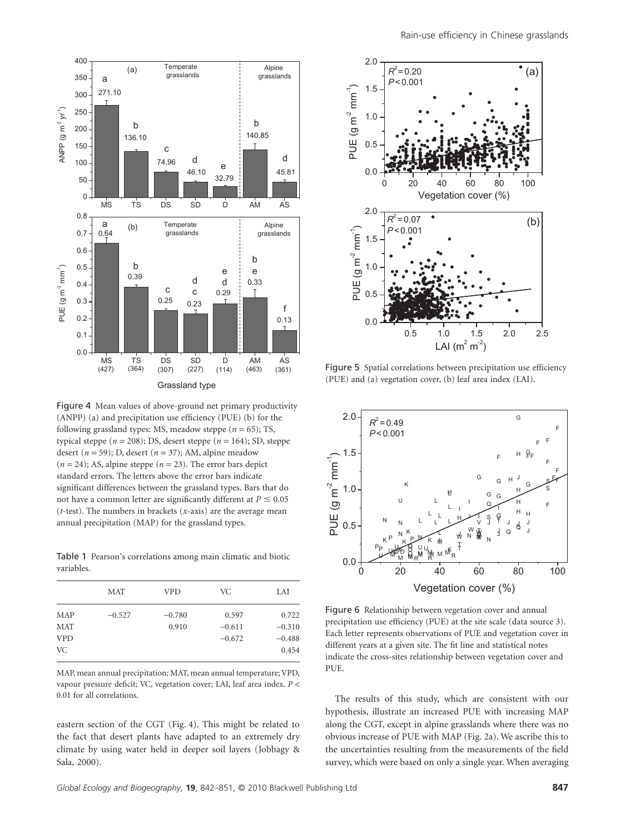

Figure 4 Mean values of above-ground net primary productivity (ANPP) (a) and precipitation use efficiency (PUE) (b) for the following grassland types: MS, meadow steppe (*n* = 65); TS, typical steppe ( $n = 208$ ); DS, desert steppe ( $n = 164$ ); SD, steppe desert ( $n = 59$ ); D, desert ( $n = 37$ ); AM, alpine meadow  $(n = 24)$ ; AS, alpine steppe  $(n = 23)$ . The error bars depict standard errors. The letters above the error bars indicate significant differences between the grassland types. Bars that do not have a common letter are significantly different at  $P \leq 0.05$ (*t*-test). The numbers in brackets (*x*-axis) are the average mean annual precipitation (MAP) for the grassland types.

Table 1 Pearson's correlations among main climatic and biotic variables.

|            | <b>MAT</b> | <b>VPD</b> | VC.      | LAI      |
|------------|------------|------------|----------|----------|
| MAP        | $-0.527$   | $-0.780$   | 0.597    | 0.722    |
| <b>MAT</b> |            | 0.910      | $-0.611$ | $-0.310$ |
| <b>VPD</b> |            |            | $-0.672$ | $-0.488$ |
| VC.        |            |            |          | 0.454    |

MAP, mean annual precipitation; MAT, mean annual temperature; VPD, vapour pressure deficit; VC, vegetation cover; LAI, leaf area index. *P* < 0.01 for all correlations.

eastern section of the CGT (Fig. 4). This might be related to the fact that desert plants have adapted to an extremely dry climate by using water held in deeper soil layers (Jobbagy & Sala, 2000).



Figure 5 Spatial correlations between precipitation use efficiency (PUE) and (a) vegetation cover, (b) leaf area index (LAI).



Figure 6 Relationship between vegetation cover and annual precipitation use efficiency (PUE) at the site scale (data source 3). Each letter represents observations of PUE and vegetation cover in different years at a given site. The fit line and statistical notes indicate the cross-sites relationship between vegetation cover and PUE.

The results of this study, which are consistent with our hypothesis, illustrate an increased PUE with increasing MAP along the CGT, except in alpine grasslands where there was no obvious increase of PUE with MAP (Fig. 2a). We ascribe this to the uncertainties resulting from the measurements of the field survey, which were based on only a single year. When averaging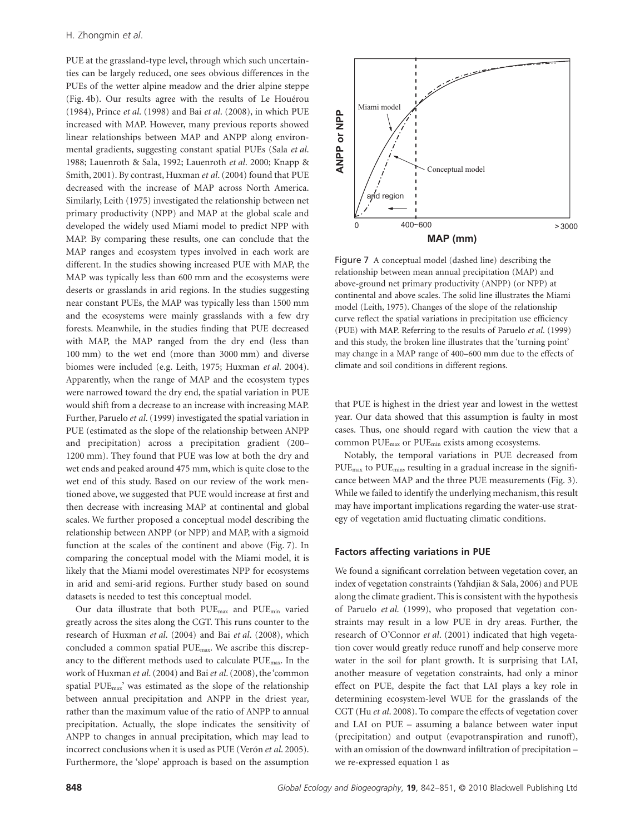PUE at the grassland-type level, through which such uncertainties can be largely reduced, one sees obvious differences in the PUEs of the wetter alpine meadow and the drier alpine steppe (Fig. 4b). Our results agree with the results of Le Houérou (1984), Prince *et al*. (1998) and Bai *et al*. (2008), in which PUE increased with MAP. However, many previous reports showed linear relationships between MAP and ANPP along environmental gradients, suggesting constant spatial PUEs (Sala *et al*. 1988; Lauenroth & Sala, 1992; Lauenroth *et al*. 2000; Knapp & Smith, 2001). By contrast, Huxman *et al*. (2004) found that PUE decreased with the increase of MAP across North America. Similarly, Leith (1975) investigated the relationship between net primary productivity (NPP) and MAP at the global scale and developed the widely used Miami model to predict NPP with MAP. By comparing these results, one can conclude that the MAP ranges and ecosystem types involved in each work are different. In the studies showing increased PUE with MAP, the MAP was typically less than 600 mm and the ecosystems were deserts or grasslands in arid regions. In the studies suggesting near constant PUEs, the MAP was typically less than 1500 mm and the ecosystems were mainly grasslands with a few dry forests. Meanwhile, in the studies finding that PUE decreased with MAP, the MAP ranged from the dry end (less than 100 mm) to the wet end (more than 3000 mm) and diverse biomes were included (e.g. Leith, 1975; Huxman *et al*. 2004). Apparently, when the range of MAP and the ecosystem types were narrowed toward the dry end, the spatial variation in PUE would shift from a decrease to an increase with increasing MAP. Further, Paruelo *et al*. (1999) investigated the spatial variation in PUE (estimated as the slope of the relationship between ANPP and precipitation) across a precipitation gradient (200– 1200 mm). They found that PUE was low at both the dry and wet ends and peaked around 475 mm, which is quite close to the wet end of this study. Based on our review of the work mentioned above, we suggested that PUE would increase at first and then decrease with increasing MAP at continental and global scales. We further proposed a conceptual model describing the relationship between ANPP (or NPP) and MAP, with a sigmoid function at the scales of the continent and above (Fig. 7). In comparing the conceptual model with the Miami model, it is likely that the Miami model overestimates NPP for ecosystems in arid and semi-arid regions. Further study based on sound datasets is needed to test this conceptual model.

Our data illustrate that both PUEmax and PUEmin varied greatly across the sites along the CGT. This runs counter to the research of Huxman *et al*. (2004) and Bai *et al*. (2008), which concluded a common spatial PUEmax. We ascribe this discrepancy to the different methods used to calculate  $PUE_{max}$ . In the work of Huxman *et al*. (2004) and Bai*et al*. (2008), the 'common spatial  $PUE<sub>max</sub>$ ' was estimated as the slope of the relationship between annual precipitation and ANPP in the driest year, rather than the maximum value of the ratio of ANPP to annual precipitation. Actually, the slope indicates the sensitivity of ANPP to changes in annual precipitation, which may lead to incorrect conclusions when it is used as PUE (Verón *et al*. 2005). Furthermore, the 'slope' approach is based on the assumption



Figure 7 A conceptual model (dashed line) describing the relationship between mean annual precipitation (MAP) and above-ground net primary productivity (ANPP) (or NPP) at continental and above scales. The solid line illustrates the Miami model (Leith, 1975). Changes of the slope of the relationship curve reflect the spatial variations in precipitation use efficiency (PUE) with MAP. Referring to the results of Paruelo *et al*. (1999) and this study, the broken line illustrates that the 'turning point' may change in a MAP range of 400–600 mm due to the effects of climate and soil conditions in different regions.

that PUE is highest in the driest year and lowest in the wettest year. Our data showed that this assumption is faulty in most cases. Thus, one should regard with caution the view that a common PUEmax or PUEmin exists among ecosystems.

Notably, the temporal variations in PUE decreased from PUEmax to PUEmin, resulting in a gradual increase in the significance between MAP and the three PUE measurements (Fig. 3). While we failed to identify the underlying mechanism, this result may have important implications regarding the water-use strategy of vegetation amid fluctuating climatic conditions.

#### **Factors affecting variations in PUE**

**Example 1**<br>  $\overrightarrow{AB}$ <br>  $\overrightarrow{BC}$ <br>  $\overrightarrow{AB}$ <br>  $\overrightarrow{AB}$ <br>  $\overrightarrow{AB}$ <br>  $\overrightarrow{AB}$ <br>  $\overrightarrow{AB}$ <br>  $\overrightarrow{AB}$ <br>  $\overrightarrow{AB}$ <br>  $\overrightarrow{AB}$ <br>  $\overrightarrow{AB}$ <br>  $\overrightarrow{AB}$ <br>  $\overrightarrow{AB}$ <br>  $\overrightarrow{AB}$ <br>  $\overrightarrow{AB}$ <br>  $\overrightarrow{AB}$ <br>  $\overrightarrow{AB}$ <br>  $\overrightarrow{AB}$ <br>  $\overrightarrow{AB}$ <br>  $\overrightarrow{AB}$ <br>  $\overrightarrow{AB}$ We found a significant correlation between vegetation cover, an index of vegetation constraints (Yahdjian & Sala, 2006) and PUE along the climate gradient. This is consistent with the hypothesis of Paruelo *et al*. (1999), who proposed that vegetation constraints may result in a low PUE in dry areas. Further, the research of O'Connor *et al*. (2001) indicated that high vegetation cover would greatly reduce runoff and help conserve more water in the soil for plant growth. It is surprising that LAI, another measure of vegetation constraints, had only a minor effect on PUE, despite the fact that LAI plays a key role in determining ecosystem-level WUE for the grasslands of the CGT (Hu *et al*. 2008). To compare the effects of vegetation cover and LAI on PUE – assuming a balance between water input (precipitation) and output (evapotranspiration and runoff), with an omission of the downward infiltration of precipitation – we re-expressed equation 1 as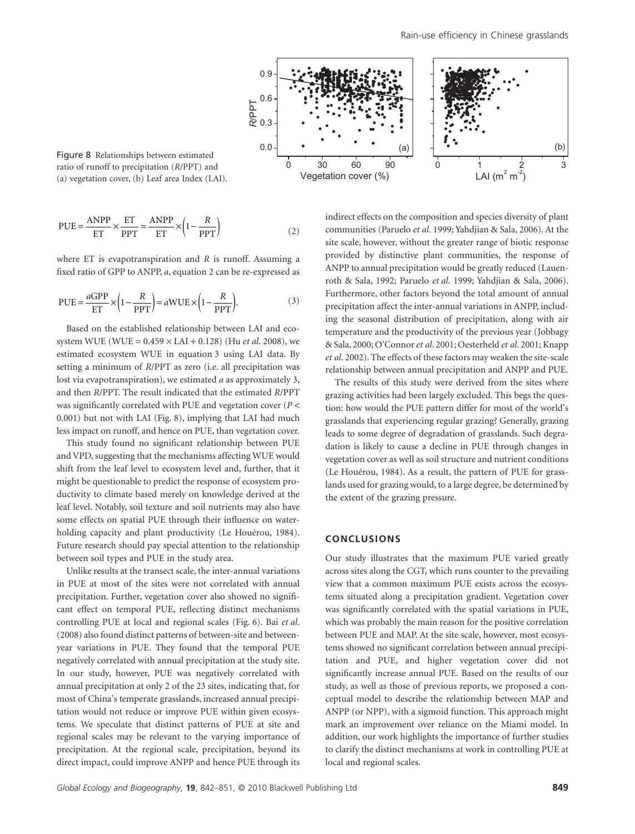

ratio of runoff to precipitation (*R*/PPT) and (a) vegetation cover, (b) Leaf area Index (LAI).

$$
PUE = \frac{ANPP}{ET} \times \frac{ET}{PPT} = \frac{ANPP}{ET} \times \left(1 - \frac{R}{PPT}\right)
$$
 (2)

where ET is evapotranspiration and *R* is runoff. Assuming a fixed ratio of GPP to ANPP, *a*, equation 2 can be re-expressed as

$$
PUE = \frac{aGPP}{ET} \times \left(1 - \frac{R}{PPT}\right) = aWUE \times \left(1 - \frac{R}{PPT}\right).
$$
 (3)

Based on the established relationship between LAI and ecosystem WUE (WUE = 0.459 ¥ LAI + 0.128) (Hu *et al*. 2008), we estimated ecosystem WUE in equation 3 using LAI data. By setting a minimum of *R*/PPT as zero (i.e. all precipitation was lost via evapotranspiration), we estimated *a* as approximately 3, and then *R*/PPT. The result indicated that the estimated *R*/PPT was significantly correlated with PUE and vegetation cover (*P* < 0.001) but not with LAI (Fig. 8), implying that LAI had much less impact on runoff, and hence on PUE, than vegetation cover.

This study found no significant relationship between PUE and VPD, suggesting that the mechanisms affecting WUE would shift from the leaf level to ecosystem level and, further, that it might be questionable to predict the response of ecosystem productivity to climate based merely on knowledge derived at the leaf level. Notably, soil texture and soil nutrients may also have some effects on spatial PUE through their influence on waterholding capacity and plant productivity (Le Houérou, 1984). Future research should pay special attention to the relationship between soil types and PUE in the study area.

Unlike results at the transect scale, the inter-annual variations in PUE at most of the sites were not correlated with annual precipitation. Further, vegetation cover also showed no significant effect on temporal PUE, reflecting distinct mechanisms controlling PUE at local and regional scales (Fig. 6). Bai *et al*. (2008) also found distinct patterns of between-site and betweenyear variations in PUE. They found that the temporal PUE negatively correlated with annual precipitation at the study site. In our study, however, PUE was negatively correlated with annual precipitation at only 2 of the 23 sites, indicating that, for most of China's temperate grasslands, increased annual precipitation would not reduce or improve PUE within given ecosystems. We speculate that distinct patterns of PUE at site and regional scales may be relevant to the varying importance of precipitation. At the regional scale, precipitation, beyond its direct impact, could improve ANPP and hence PUE through its indirect effects on the composition and species diversity of plant communities (Paruelo *et al*. 1999; Yahdjian & Sala, 2006). At the site scale, however, without the greater range of biotic response provided by distinctive plant communities, the response of ANPP to annual precipitation would be greatly reduced (Lauenroth & Sala, 1992; Paruelo *et al*. 1999; Yahdjian & Sala, 2006). Furthermore, other factors beyond the total amount of annual precipitation affect the inter-annual variations in ANPP, including the seasonal distribution of precipitation, along with air temperature and the productivity of the previous year (Jobbagy & Sala, 2000; O'Connor*et al*. 2001; Oesterheld *et al*. 2001; Knapp *et al*. 2002). The effects of these factors may weaken the site-scale relationship between annual precipitation and ANPP and PUE.

The results of this study were derived from the sites where grazing activities had been largely excluded. This begs the question: how would the PUE pattern differ for most of the world's grasslands that experiencing regular grazing? Generally, grazing leads to some degree of degradation of grasslands. Such degradation is likely to cause a decline in PUE through changes in vegetation cover as well as soil structure and nutrient conditions (Le Houérou, 1984). As a result, the pattern of PUE for grasslands used for grazing would, to a large degree, be determined by the extent of the grazing pressure.

## **CONCLUSIONS**

Our study illustrates that the maximum PUE varied greatly across sites along the CGT, which runs counter to the prevailing view that a common maximum PUE exists across the ecosystems situated along a precipitation gradient. Vegetation cover was significantly correlated with the spatial variations in PUE, which was probably the main reason for the positive correlation between PUE and MAP. At the site scale, however, most ecosystems showed no significant correlation between annual precipitation and PUE, and higher vegetation cover did not significantly increase annual PUE. Based on the results of our study, as well as those of previous reports, we proposed a conceptual model to describe the relationship between MAP and ANPP (or NPP), with a sigmoid function. This approach might mark an improvement over reliance on the Miami model. In addition, our work highlights the importance of further studies to clarify the distinct mechanisms at work in controlling PUE at local and regional scales.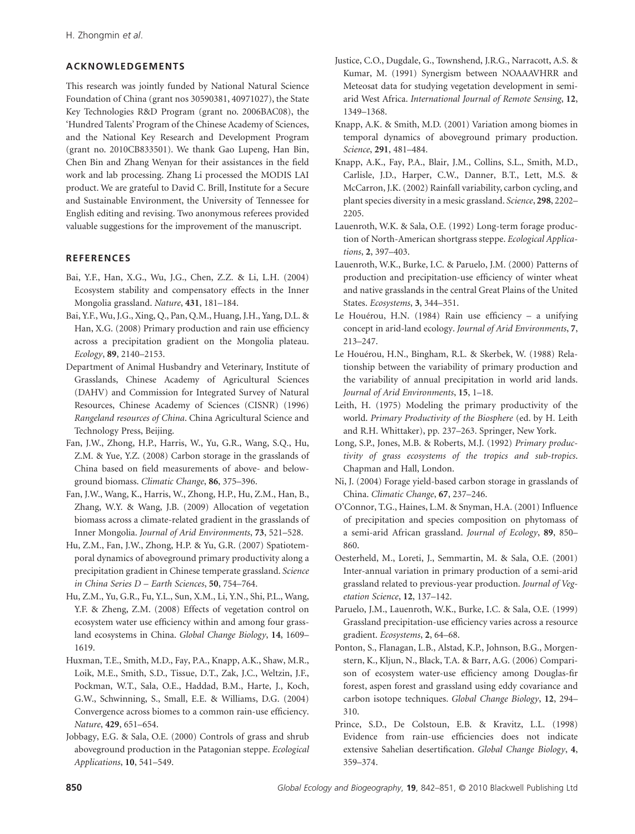# **ACKNOWLEDGEMENTS**

This research was jointly funded by National Natural Science Foundation of China (grant nos 30590381, 40971027), the State Key Technologies R&D Program (grant no. 2006BAC08), the 'Hundred Talents' Program of the Chinese Academy of Sciences, and the National Key Research and Development Program (grant no. 2010CB833501). We thank Gao Lupeng, Han Bin, Chen Bin and Zhang Wenyan for their assistances in the field work and lab processing. Zhang Li processed the MODIS LAI product. We are grateful to David C. Brill, Institute for a Secure and Sustainable Environment, the University of Tennessee for English editing and revising. Two anonymous referees provided valuable suggestions for the improvement of the manuscript.

# **REFERENCES**

- Bai, Y.F., Han, X.G., Wu, J.G., Chen, Z.Z. & Li, L.H. (2004) Ecosystem stability and compensatory effects in the Inner Mongolia grassland. *Nature*, **431**, 181–184.
- Bai, Y.F., Wu, J.G., Xing, Q., Pan, Q.M., Huang, J.H., Yang, D.L. & Han, X.G. (2008) Primary production and rain use efficiency across a precipitation gradient on the Mongolia plateau. *Ecology*, **89**, 2140–2153.
- Department of Animal Husbandry and Veterinary, Institute of Grasslands, Chinese Academy of Agricultural Sciences (DAHV) and Commission for Integrated Survey of Natural Resources, Chinese Academy of Sciences (CISNR) (1996) *Rangeland resources of China*. China Agricultural Science and Technology Press, Beijing.
- Fan, J.W., Zhong, H.P., Harris, W., Yu, G.R., Wang, S.Q., Hu, Z.M. & Yue, Y.Z. (2008) Carbon storage in the grasslands of China based on field measurements of above- and belowground biomass. *Climatic Change*, **86**, 375–396.
- Fan, J.W., Wang, K., Harris, W., Zhong, H.P., Hu, Z.M., Han, B., Zhang, W.Y. & Wang, J.B. (2009) Allocation of vegetation biomass across a climate-related gradient in the grasslands of Inner Mongolia. *Journal of Arid Environments*, **73**, 521–528.
- Hu, Z.M., Fan, J.W., Zhong, H.P. & Yu, G.R. (2007) Spatiotemporal dynamics of aboveground primary productivity along a precipitation gradient in Chinese temperate grassland. *Science in China Series D – Earth Sciences*, **50**, 754–764.
- Hu, Z.M., Yu, G.R., Fu, Y.L., Sun, X.M., Li, Y.N., Shi, P.L., Wang, Y.F. & Zheng, Z.M. (2008) Effects of vegetation control on ecosystem water use efficiency within and among four grassland ecosystems in China. *Global Change Biology*, **14**, 1609– 1619.
- Huxman, T.E., Smith, M.D., Fay, P.A., Knapp, A.K., Shaw, M.R., Loik, M.E., Smith, S.D., Tissue, D.T., Zak, J.C., Weltzin, J.F., Pockman, W.T., Sala, O.E., Haddad, B.M., Harte, J., Koch, G.W., Schwinning, S., Small, E.E. & Williams, D.G. (2004) Convergence across biomes to a common rain-use efficiency. *Nature*, **429**, 651–654.
- Jobbagy, E.G. & Sala, O.E. (2000) Controls of grass and shrub aboveground production in the Patagonian steppe. *Ecological Applications*, **10**, 541–549.
- Justice, C.O., Dugdale, G., Townshend, J.R.G., Narracott, A.S. & Kumar, M. (1991) Synergism between NOAAAVHRR and Meteosat data for studying vegetation development in semiarid West Africa. *International Journal of Remote Sensing*, **12**, 1349–1368.
- Knapp, A.K. & Smith, M.D. (2001) Variation among biomes in temporal dynamics of aboveground primary production. *Science*, **291**, 481–484.
- Knapp, A.K., Fay, P.A., Blair, J.M., Collins, S.L., Smith, M.D., Carlisle, J.D., Harper, C.W., Danner, B.T., Lett, M.S. & McCarron, J.K. (2002) Rainfall variability, carbon cycling, and plant species diversity in a mesic grassland. *Science*, **298**, 2202– 2205.
- Lauenroth, W.K. & Sala, O.E. (1992) Long-term forage production of North-American shortgrass steppe. *Ecological Applications*, **2**, 397–403.
- Lauenroth, W.K., Burke, I.C. & Paruelo, J.M. (2000) Patterns of production and precipitation-use efficiency of winter wheat and native grasslands in the central Great Plains of the United States. *Ecosystems*, **3**, 344–351.
- Le Houérou, H.N. (1984) Rain use efficiency a unifying concept in arid-land ecology. *Journal of Arid Environments*, **7**, 213–247.
- Le Houérou, H.N., Bingham, R.L. & Skerbek, W. (1988) Relationship between the variability of primary production and the variability of annual precipitation in world arid lands. *Journal of Arid Environments*, **15**, 1–18.
- Leith, H. (1975) Modeling the primary productivity of the world. *Primary Productivity of the Biosphere* (ed. by H. Leith and R.H. Whittaker), pp. 237–263. Springer, New York.
- Long, S.P., Jones, M.B. & Roberts, M.J. (1992) *Primary productivity of grass ecosystems of the tropics and sub-tropics*. Chapman and Hall, London.
- Ni, J. (2004) Forage yield-based carbon storage in grasslands of China. *Climatic Change*, **67**, 237–246.
- O'Connor, T.G., Haines, L.M. & Snyman, H.A. (2001) Influence of precipitation and species composition on phytomass of a semi-arid African grassland. *Journal of Ecology*, **89**, 850– 860.
- Oesterheld, M., Loreti, J., Semmartin, M. & Sala, O.E. (2001) Inter-annual variation in primary production of a semi-arid grassland related to previous-year production. *Journal of Vegetation Science*, **12**, 137–142.
- Paruelo, J.M., Lauenroth, W.K., Burke, I.C. & Sala, O.E. (1999) Grassland precipitation-use efficiency varies across a resource gradient. *Ecosystems*, **2**, 64–68.
- Ponton, S., Flanagan, L.B., Alstad, K.P., Johnson, B.G., Morgenstern, K., Kljun, N., Black, T.A. & Barr, A.G. (2006) Comparison of ecosystem water-use efficiency among Douglas-fir forest, aspen forest and grassland using eddy covariance and carbon isotope techniques. *Global Change Biology*, **12**, 294– 310.
- Prince, S.D., De Colstoun, E.B. & Kravitz, L.L. (1998) Evidence from rain-use efficiencies does not indicate extensive Sahelian desertification. *Global Change Biology*, **4**, 359–374.